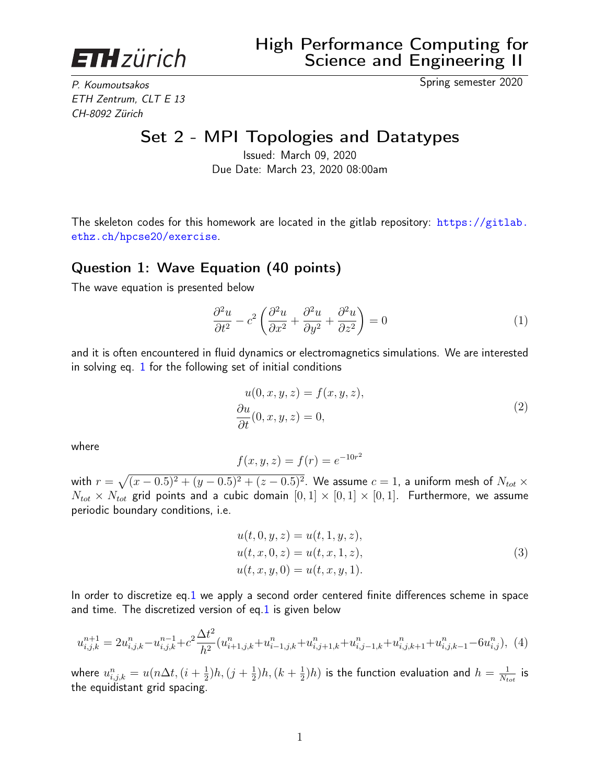<span id="page-0-2"></span>

ETH Zentrum, CLT E 13 CH-8092 Zürich

P. Koumoutsakos Spring semester 2020

# Set 2 - MPI Topologies and Datatypes

Issued: March 09, 2020 Due Date: March 23, 2020 08:00am

The skeleton codes for this homework are located in the gitlab repository:  $\frac{h}{h}$ thes://gitlab. [ethz.ch/hpcse20/exercise](https://gitlab.ethz.ch/hpcse20/exercise).

#### Question 1: Wave Equation (40 points)

The wave equation is presented below

<span id="page-0-0"></span>
$$
\frac{\partial^2 u}{\partial t^2} - c^2 \left( \frac{\partial^2 u}{\partial x^2} + \frac{\partial^2 u}{\partial y^2} + \frac{\partial^2 u}{\partial z^2} \right) = 0
$$
 (1)

and it is often encountered in fluid dynamics or electromagnetics simulations. We are interested in solving eq. [1](#page-0-0) for the following set of initial conditions

$$
u(0, x, y, z) = f(x, y, z),
$$
  
\n
$$
\frac{\partial u}{\partial t}(0, x, y, z) = 0,
$$
\n(2)

where

$$
f(x, y, z) = f(r) = e^{-10r^2}
$$

with  $r=\sqrt{(x-0.5)^2+(y-0.5)^2+(z-0.5)^2}.$  We assume  $c=1$ , a uniform mesh of  $N_{tot}\times$  $N_{tot} \times N_{tot}$  grid points and a cubic domain  $[0, 1] \times [0, 1] \times [0, 1]$ . Furthermore, we assume periodic boundary conditions, i.e.

$$
u(t, 0, y, z) = u(t, 1, y, z),
$$
  
\n
$$
u(t, x, 0, z) = u(t, x, 1, z),
$$
  
\n
$$
u(t, x, y, 0) = u(t, x, y, 1).
$$
\n(3)

In order to discretize eq[.1](#page-0-0) we apply a second order centered finite differences scheme in space and time. The discretized version of eq[.1](#page-0-0) is given below

<span id="page-0-1"></span>
$$
u_{i,j,k}^{n+1} = 2u_{i,j,k}^n - u_{i,j,k}^{n-1} + c^2 \frac{\Delta t^2}{h^2} (u_{i+1,j,k}^n + u_{i-1,j,k}^n + u_{i,j+1,k}^n + u_{i,j-1,k}^n + u_{i,j,k+1}^n + u_{i,j,k-1}^n - 6u_{i,j}^n),
$$
 (4)

where  $u_{i,j,k}^n=u(n\Delta t,(i+\frac{1}{2})$  $(\frac{1}{2})h,(\frac{1}{2}+\frac{1}{2})$  $(\frac{1}{2})h, (k+\frac{1}{2})$  $\frac{1}{2} ) h )$  is the function evaluation and  $h = \frac{1}{N_t}$  $\frac{1}{N_{tot}}$  is the equidistant grid spacing.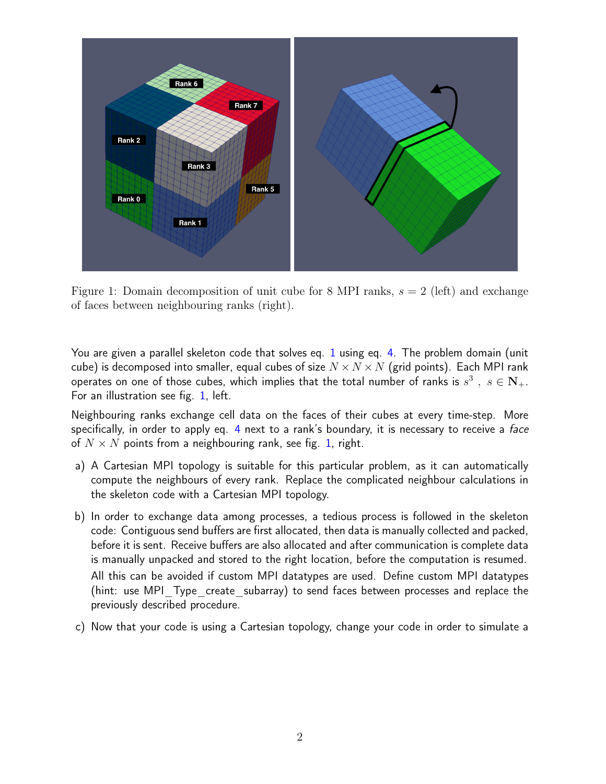

<span id="page-1-0"></span>Figure 1: Domain decomposition of unit cube for 8 MPI ranks,  $s = 2$  (left) and exchange of faces between neighbouring ranks (right).

You are given a parallel skeleton code that solves eq. [1](#page-0-0) using eq. [4.](#page-0-1) The problem domain (unit cube) is decomposed into smaller, equal cubes of size  $N \times N \times N$  (grid points). Each MPI rank operates on one of those cubes, which implies that the total number of ranks is  $s^3$  ,  $s\in \mathbf{N}_+.$ For an illustration see fig. [1,](#page-1-0) left.

Neighbouring ranks exchange cell data on the faces of their cubes at every time-step. More specifically, in order to apply eq. [4](#page-0-1) next to a rank's boundary, it is necessary to receive a *face* of  $N \times N$  points from a neighbouring rank, see fig. [1,](#page-1-0) right.

- a) A Cartesian MPI topology is suitable for this particular problem, as it can automatically compute the neighbours of every rank. Replace the complicated neighbour calculations in the skeleton code with a Cartesian MPI topology.
- b) In order to exchange data among processes, a tedious process is followed in the skeleton code: Contiguous send buffers are first allocated, then data is manually collected and packed, before it is sent. Receive buffers are also allocated and after communication is complete data is manually unpacked and stored to the right location, before the computation is resumed. All this can be avoided if custom MPI datatypes are used. Define custom MPI datatypes (hint: use MPI\_Type\_create\_subarray) to send faces between processes and replace the previously described procedure.
- c) Now that your code is using a Cartesian topology, change your code in order to simulate a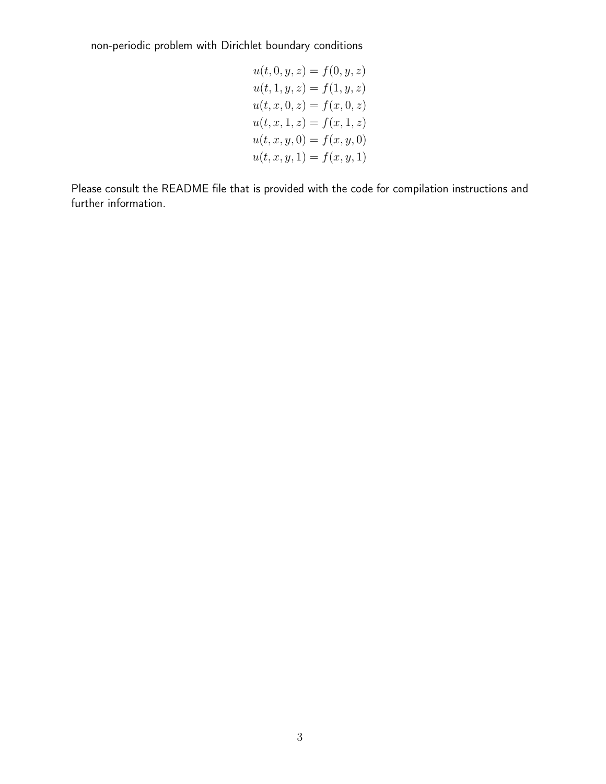non-periodic problem with Dirichlet boundary conditions

$$
u(t, 0, y, z) = f(0, y, z)
$$
  
\n
$$
u(t, 1, y, z) = f(1, y, z)
$$
  
\n
$$
u(t, x, 0, z) = f(x, 0, z)
$$
  
\n
$$
u(t, x, 1, z) = f(x, 1, z)
$$
  
\n
$$
u(t, x, y, 0) = f(x, y, 0)
$$
  
\n
$$
u(t, x, y, 1) = f(x, y, 1)
$$

Please consult the README file that is provided with the code for compilation instructions and further information.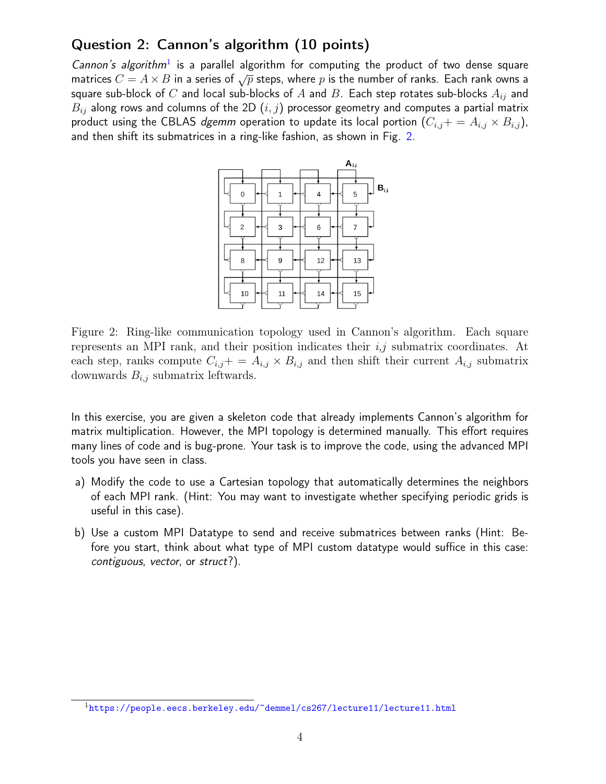### Question 2: Cannon's algorithm (10 points)

Cannon's algorithm<sup>[1](#page-0-2)</sup> is a parallel algorithm for computing the product of two dense square matrices  $C = A \times B$  in a series of  $\sqrt{p}$  steps, where p is the number of ranks. Each rank owns a square sub-block of C and local sub-blocks of A and B. Each step rotates sub-blocks  $A_{ij}$  and  $B_{ij}$  along rows and columns of the 2D  $(i, j)$  processor geometry and computes a partial matrix product using the CBLAS dgemm operation to update its local portion  $(C_{i,j}+=A_{i,j}\times B_{i,j})$ , and then shift its submatrices in a ring-like fashion, as shown in Fig. [2.](#page-3-0)



<span id="page-3-0"></span>Figure 2: Ring-like communication topology used in Cannon's algorithm. Each square represents an MPI rank, and their position indicates their  $i, j$  submatrix coordinates. At each step, ranks compute  $C_{i,j}$ + =  $A_{i,j} \times B_{i,j}$  and then shift their current  $A_{i,j}$  submatrix downwards  $B_{i,j}$  submatrix leftwards.

In this exercise, you are given a skeleton code that already implements Cannon's algorithm for matrix multiplication. However, the MPI topology is determined manually. This effort requires many lines of code and is bug-prone. Your task is to improve the code, using the advanced MPI tools you have seen in class.

- a) Modify the code to use a Cartesian topology that automatically determines the neighbors of each MPI rank. (Hint: You may want to investigate whether specifying periodic grids is useful in this case).
- b) Use a custom MPI Datatype to send and receive submatrices between ranks (Hint: Before you start, think about what type of MPI custom datatype would suffice in this case: contiguous, vector, or struct?).

<sup>1</sup><https://people.eecs.berkeley.edu/~demmel/cs267/lecture11/lecture11.html>